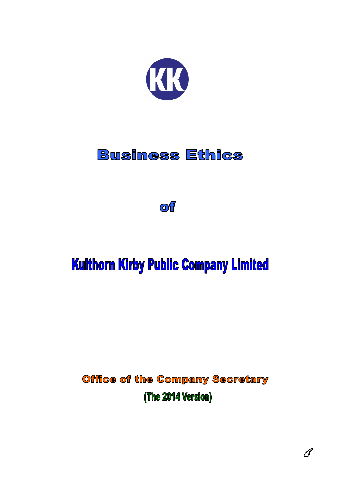

## **Business Ethics**

**of** 

# **Kulthorn Kirby Public Company Limited**

**Office of the Company Secretary** (The 2014 Version)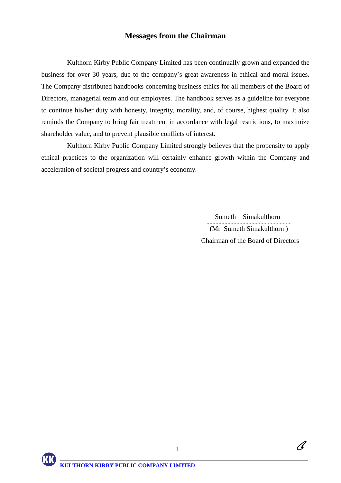#### **Messages from the Chairman**

Kulthorn Kirby Public Company Limited has been continually grown and expanded the business for over 30 years, due to the company's great awareness in ethical and moral issues. The Company distributed handbooks concerning business ethics for all members of the Board of Directors, managerial team and our employees. The handbook serves as a guideline for everyone to continue his/her duty with honesty, integrity, morality, and, of course, highest quality. It also reminds the Company to bring fair treatment in accordance with legal restrictions, to maximize shareholder value, and to prevent plausible conflicts of interest.

Kulthorn Kirby Public Company Limited strongly believes that the propensity to apply ethical practices to the organization will certainly enhance growth within the Company and acceleration of societal progress and country's economy.

1

 Sumeth Simakulthorn (Mr Sumeth Simakulthorn ) Chairman of the Board of Directors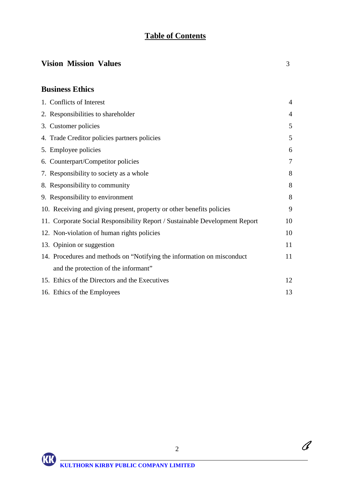## **Table of Contents**

## **Vision Mission Values** 3

### **Business Ethics**

| 1. Conflicts of Interest                                                    | 4              |
|-----------------------------------------------------------------------------|----------------|
| 2. Responsibilities to shareholder                                          | $\overline{4}$ |
| 3. Customer policies                                                        | 5              |
| 4. Trade Creditor policies partners policies                                | 5              |
| 5. Employee policies                                                        | 6              |
| 6. Counterpart/Competitor policies                                          | 7              |
| 7. Responsibility to society as a whole                                     | 8              |
| 8. Responsibility to community                                              | 8              |
| 9. Responsibility to environment                                            | 8              |
| 10. Receiving and giving present, property or other benefits policies       | 9              |
| 11. Corporate Social Responsibility Report / Sustainable Development Report | 10             |
| 12. Non-violation of human rights policies                                  | 10             |
| 13. Opinion or suggestion                                                   | 11             |
| 14. Procedures and methods on "Notifying the information on misconduct      | 11             |
| and the protection of the informant"                                        |                |
| 15. Ethics of the Directors and the Executives                              | 12             |
| 16. Ethics of the Employees                                                 | 13             |

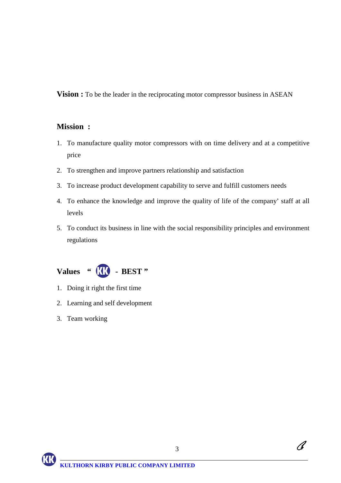**Vision :** To be the leader in the reciprocating motor compressor business in ASEAN

#### **Mission :**

- 1. To manufacture quality motor compressors with on time delivery and at a competitive price
- 2. To strengthen and improve partners relationship and satisfaction
- 3. To increase product development capability to serve and fulfill customers needs
- 4. To enhance the knowledge and improve the quality of life of the company' staff at all levels
- 5. To conduct its business in line with the social responsibility principles and environment regulations



- 1. Doing it right the first time
- 2. Learning and self development
- 3. Team working

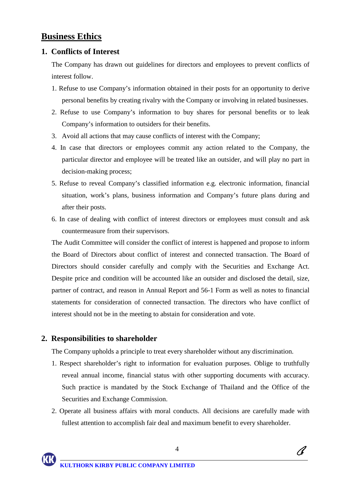## **Business Ethics**

#### **1. Conflicts of Interest**

The Company has drawn out guidelines for directors and employees to prevent conflicts of interest follow.

- 1. Refuse to use Company's information obtained in their posts for an opportunity to derive personal benefits by creating rivalry with the Company or involving in related businesses.
- 2. Refuse to use Company's information to buy shares for personal benefits or to leak Company's information to outsiders for their benefits.
- 3. Avoid all actions that may cause conflicts of interest with the Company;
- 4. In case that directors or employees commit any action related to the Company, the particular director and employee will be treated like an outsider, and will play no part in decision-making process;
- 5. Refuse to reveal Company's classified information e.g. electronic information, financial situation, work's plans, business information and Company's future plans during and after their posts.
- 6. In case of dealing with conflict of interest directors or employees must consult and ask countermeasure from their supervisors.

The Audit Committee will consider the conflict of interest is happened and propose to inform the Board of Directors about conflict of interest and connected transaction. The Board of Directors should consider carefully and comply with the Securities and Exchange Act. Despite price and condition will be accounted like an outsider and disclosed the detail, size, partner of contract, and reason in Annual Report and 56-1 Form as well as notes to financial statements for consideration of connected transaction. The directors who have conflict of interest should not be in the meeting to abstain for consideration and vote.

#### **2. Responsibilities to shareholder**

 $\overline{a}$ 

The Company upholds a principle to treat every shareholder without any discrimination.

- 1. Respect shareholder's right to information for evaluation purposes. Oblige to truthfully reveal annual income, financial status with other supporting documents with accuracy. Such practice is mandated by the Stock Exchange of Thailand and the Office of the Securities and Exchange Commission.
- 2. Operate all business affairs with moral conducts. All decisions are carefully made with fullest attention to accomplish fair deal and maximum benefit to every shareholder.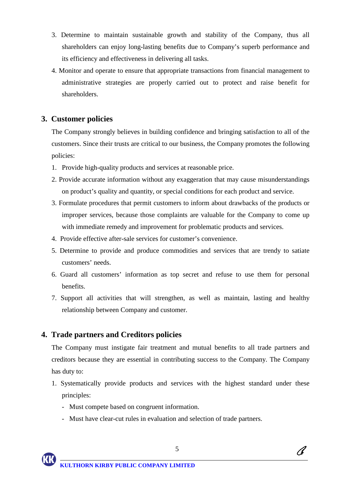- 3. Determine to maintain sustainable growth and stability of the Company, thus all shareholders can enjoy long-lasting benefits due to Company's superb performance and its efficiency and effectiveness in delivering all tasks.
- 4. Monitor and operate to ensure that appropriate transactions from financial management to administrative strategies are properly carried out to protect and raise benefit for shareholders.

#### **3. Customer policies**

The Company strongly believes in building confidence and bringing satisfaction to all of the customers. Since their trusts are critical to our business, the Company promotes the following policies:

- 1. Provide high-quality products and services at reasonable price.
- 2. Provide accurate information without any exaggeration that may cause misunderstandings on product's quality and quantity, or special conditions for each product and service.
- 3. Formulate procedures that permit customers to inform about drawbacks of the products or improper services, because those complaints are valuable for the Company to come up with immediate remedy and improvement for problematic products and services.
- 4. Provide effective after-sale services for customer's convenience.
- 5. Determine to provide and produce commodities and services that are trendy to satiate customers' needs.
- 6. Guard all customers' information as top secret and refuse to use them for personal benefits.
- 7. Support all activities that will strengthen, as well as maintain, lasting and healthy relationship between Company and customer.

#### **4. Trade partners and Creditors policies**

The Company must instigate fair treatment and mutual benefits to all trade partners and creditors because they are essential in contributing success to the Company. The Company has duty to:

- 1. Systematically provide products and services with the highest standard under these principles:
	- Must compete based on congruent information.
	- Must have clear-cut rules in evaluation and selection of trade partners.

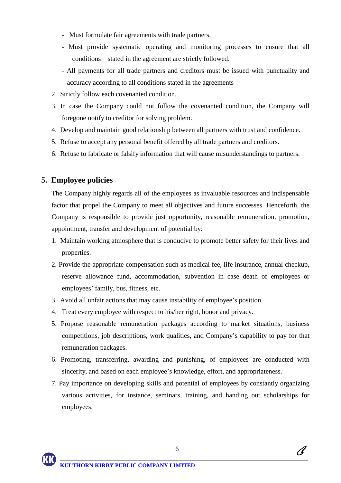- Must formulate fair agreements with trade partners.
- Must provide systematic operating and monitoring processes to ensure that all conditions stated in the agreement are strictly followed.
- All payments for all trade partners and creditors must be issued with punctuality and accuracy according to all conditions stated in the agreements
- 2. Strictly follow each covenanted condition.
- 3. In case the Company could not follow the covenanted condition, the Company will foregone notify to creditor for solving problem.
- 4. Develop and maintain good relationship between all partners with trust and confidence.
- 5. Refuse to accept any personal benefit offered by all trade partners and creditors.
- 6. Refuse to fabricate or falsify information that will cause misunderstandings to partners.

#### **5. Employee policies**

The Company highly regards all of the employees as invaluable resources and indispensable factor that propel the Company to meet all objectives and future successes. Henceforth, the Company is responsible to provide just opportunity, reasonable remuneration, promotion, appointment, transfer and development of potential by:

- 1. Maintain working atmosphere that is conducive to promote better safety for their lives and properties.
- 2. Provide the appropriate compensation such as medical fee, life insurance, annual checkup, reserve allowance fund, accommodation, subvention in case death of employees or employees' family, bus, fitness, etc.
- 3. Avoid all unfair actions that may cause instability of employee's position.
- 4. Treat every employee with respect to his/her right, honor and privacy.
- 5. Propose reasonable remuneration packages according to market situations, business competitions, job descriptions, work qualities, and Company's capability to pay for that remuneration packages.
- 6. Promoting, transferring, awarding and punishing, of employees are conducted with sincerity, and based on each employee's knowledge, effort, and appropriateness.
- 7. Pay importance on developing skills and potential of employees by constantly organizing various activities, for instance, seminars, training, and handing out scholarships for employees.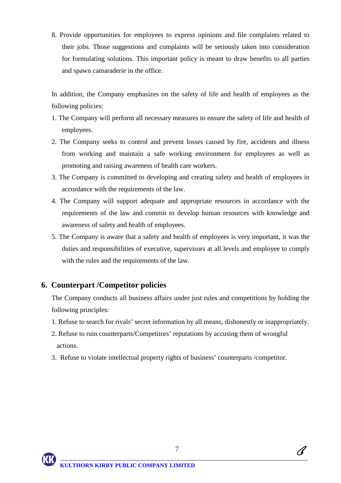8. Provide opportunities for employees to express opinions and file complaints related to their jobs. Those suggestions and complaints will be seriously taken into consideration for formulating solutions. This important policy is meant to draw benefits to all parties and spawn camaraderie in the office.

In addition, the Company emphasizes on the safety of life and health of employees as the following policies:

- 1. The Company will perform all necessary measures to ensure the safety of life and health of employees.
- 2. The Company seeks to control and prevent losses caused by fire, accidents and illness from working and maintain a safe working environment for employees as well as promoting and raising awareness of health care workers.
- 3. The Company is committed to developing and creating safety and health of employees in accordance with the requirements of the law.
- 4. The Company will support adequate and appropriate resources in accordance with the requirements of the law and commit to develop human resources with knowledge and awareness of safety and health of employees.
- 5. The Company is aware that a safety and health of employees is very important, it was the duties and responsibilities of executive, supervisors at all levels and employee to comply with the rules and the requirements of the law.

#### **6. Counterpart /Competitor policies**

The Company conducts all business affairs under just rules and competitions by holding the following principles:

- 1. Refuse to search for rivals' secret information by all means, dishonestly or inappropriately.
- 2. Refuse to ruin counterparts/Competitors' reputations by accusing them of wrongful actions.
- 3. Refuse to violate intellectual property rights of business' counterparts /competitor.



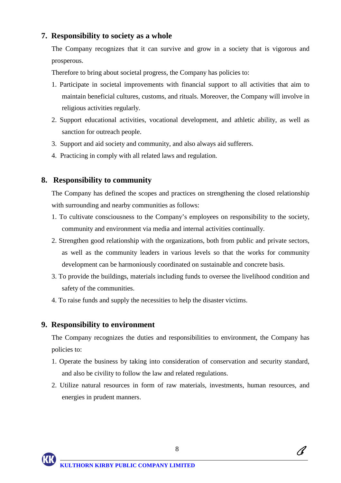#### **7. Responsibility to society as a whole**

The Company recognizes that it can survive and grow in a society that is vigorous and prosperous.

Therefore to bring about societal progress, the Company has policies to:

- 1. Participate in societal improvements with financial support to all activities that aim to maintain beneficial cultures, customs, and rituals. Moreover, the Company will involve in religious activities regularly.
- 2. Support educational activities, vocational development, and athletic ability, as well as sanction for outreach people.
- 3. Support and aid society and community, and also always aid sufferers.
- 4. Practicing in comply with all related laws and regulation.

#### **8. Responsibility to community**

The Company has defined the scopes and practices on strengthening the closed relationship with surrounding and nearby communities as follows:

- 1. To cultivate consciousness to the Company's employees on responsibility to the society, community and environment via media and internal activities continually.
- 2. Strengthen good relationship with the organizations, both from public and private sectors, as well as the community leaders in various levels so that the works for community development can be harmoniously coordinated on sustainable and concrete basis.
- 3. To provide the buildings, materials including funds to oversee the livelihood condition and safety of the communities.
- 4. To raise funds and supply the necessities to help the disaster victims.

#### **9. Responsibility to environment**

 $\overline{a}$ 

The Company recognizes the duties and responsibilities to environment, the Company has policies to:

- 1. Operate the business by taking into consideration of conservation and security standard, and also be civility to follow the law and related regulations.
- 2. Utilize natural resources in form of raw materials, investments, human resources, and energies in prudent manners.

8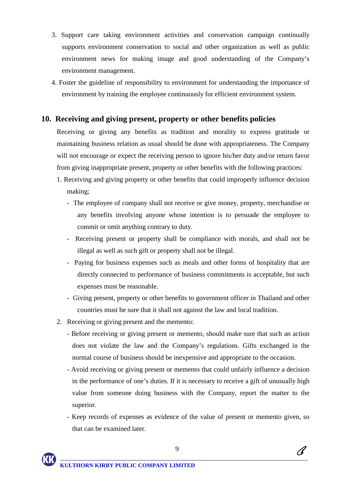- 3. Support care taking environment activities and conservation campaign continually supports environment conservation to social and other organization as well as public environment news for making image and good understanding of the Company's environment management.
- 4. Foster the guideline of responsibility to environment for understanding the importance of environment by training the employee continuously for efficient environment system.

#### **10. Receiving and giving present, property or other benefits policies**

Receiving or giving any benefits as tradition and morality to express gratitude or maintaining business relation as usual should be done with appropriateness. The Company will not encourage or expect the receiving person to ignore his/her duty and/or return favor from giving inappropriate present, property or other benefits with the following practices:

- 1. Receiving and giving property or other benefits that could improperly influence decision making;
	- The employee of company shall not receive or give money, property, merchandise or any benefits involving anyone whose intention is to persuade the employee to commit or omit anything contrary to duty.
	- Receiving present or property shall be compliance with morals, and shall not be illegal as well as such gift or property shall not be illegal.
	- Paying for business expenses such as meals and other forms of hospitality that are directly connected to performance of business commitments is acceptable, but such expenses must be reasonable.
	- Giving present, property or other benefits to government officer in Thailand and other countries must be sure that it shall not against the law and local tradition.
- 2. Receiving or giving present and the memento:
	- Before receiving or giving present or memento, should make sure that such an action does not violate the law and the Company's regulations. Gifts exchanged in the normal course of business should be inexpensive and appropriate to the occasion.
	- Avoid receiving or giving present or memento that could unfairly influence a decision in the performance of one's duties. If it is necessary to receive a gift of unusually high value from someone doing business with the Company, report the matter to the superior.
	- Keep records of expenses as evidence of the value of present or memento given, so that can be examined later.

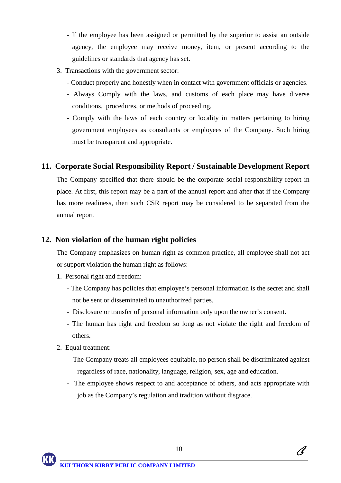- If the employee has been assigned or permitted by the superior to assist an outside agency, the employee may receive money, item, or present according to the guidelines or standards that agency has set.
- 3. Transactions with the government sector:
	- Conduct properly and honestly when in contact with government officials or agencies.
	- Always Comply with the laws, and customs of each place may have diverse conditions, procedures, or methods of proceeding.
	- Comply with the laws of each country or locality in matters pertaining to hiring government employees as consultants or employees of the Company. Such hiring must be transparent and appropriate.

#### **11. Corporate Social Responsibility Report / Sustainable Development Report**

The Company specified that there should be the corporate social responsibility report in place. At first, this report may be a part of the annual report and after that if the Company has more readiness, then such CSR report may be considered to be separated from the annual report.

#### **12. Non violation of the human right policies**

The Company emphasizes on human right as common practice, all employee shall not act or support violation the human right as follows:

- 1. Personal right and freedom:
	- The Company has policies that employee's personal information is the secret and shall not be sent or disseminated to unauthorized parties.
	- Disclosure or transfer of personal information only upon the owner's consent.
	- The human has right and freedom so long as not violate the right and freedom of others.
- 2. Equal treatment:

- The Company treats all employees equitable, no person shall be discriminated against regardless of race, nationality, language, religion, sex, age and education.
- The employee shows respect to and acceptance of others, and acts appropriate with job as the Company's regulation and tradition without disgrace.

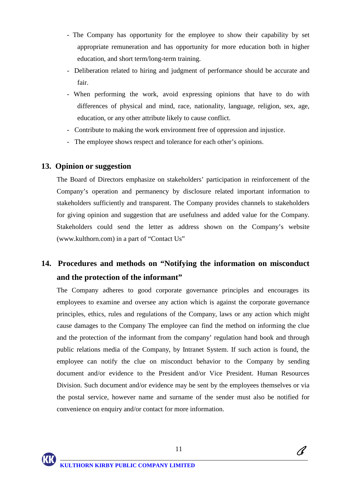- The Company has opportunity for the employee to show their capability by set appropriate remuneration and has opportunity for more education both in higher education, and short term/long-term training.
- Deliberation related to hiring and judgment of performance should be accurate and fair.
- When performing the work, avoid expressing opinions that have to do with differences of physical and mind, race, nationality, language, religion, sex, age, education, or any other attribute likely to cause conflict.
- Contribute to making the work environment free of oppression and injustice.
- The employee shows respect and tolerance for each other's opinions.

#### **13. Opinion or suggestion**

The Board of Directors emphasize on stakeholders' participation in reinforcement of the Company's operation and permanency by disclosure related important information to stakeholders sufficiently and transparent. The Company provides channels to stakeholders for giving opinion and suggestion that are usefulness and added value for the Company. Stakeholders could send the letter as address shown on the Company's website (www.kulthorn.com) in a part of "Contact Us"

## **14. Procedures and methods on "Notifying the information on misconduct and the protection of the informant"**

The Company adheres to good corporate governance principles and encourages its employees to examine and oversee any action which is against the corporate governance principles, ethics, rules and regulations of the Company, laws or any action which might cause damages to the Company The employee can find the method on informing the clue and the protection of the informant from the company' regulation hand book and through public relations media of the Company, by Intranet System. If such action is found, the employee can notify the clue on misconduct behavior to the Company by sending document and/or evidence to the President and/or Vice President. Human Resources Division. Such document and/or evidence may be sent by the employees themselves or via the postal service, however name and surname of the sender must also be notified for convenience on enquiry and/or contact for more information.

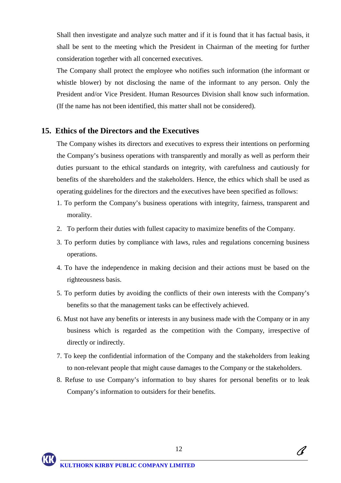Shall then investigate and analyze such matter and if it is found that it has factual basis, it shall be sent to the meeting which the President in Chairman of the meeting for further consideration together with all concerned executives.

The Company shall protect the employee who notifies such information (the informant or whistle blower) by not disclosing the name of the informant to any person. Only the President and/or Vice President. Human Resources Division shall know such information. (If the name has not been identified, this matter shall not be considered).

#### **15. Ethics of the Directors and the Executives**

The Company wishes its directors and executives to express their intentions on performing the Company's business operations with transparently and morally as well as perform their duties pursuant to the ethical standards on integrity, with carefulness and cautiously for benefits of the shareholders and the stakeholders. Hence, the ethics which shall be used as operating guidelines for the directors and the executives have been specified as follows:

- 1. To perform the Company's business operations with integrity, fairness, transparent and morality.
- 2. To perform their duties with fullest capacity to maximize benefits of the Company.
- 3. To perform duties by compliance with laws, rules and regulations concerning business operations.
- 4. To have the independence in making decision and their actions must be based on the righteousness basis.
- 5. To perform duties by avoiding the conflicts of their own interests with the Company's benefits so that the management tasks can be effectively achieved.
- 6. Must not have any benefits or interests in any business made with the Company or in any business which is regarded as the competition with the Company, irrespective of directly or indirectly.
- 7. To keep the confidential information of the Company and the stakeholders from leaking to non-relevant people that might cause damages to the Company or the stakeholders.
- 8. Refuse to use Company's information to buy shares for personal benefits or to leak Company's information to outsiders for their benefits.

 $\overline{a}$ 

A